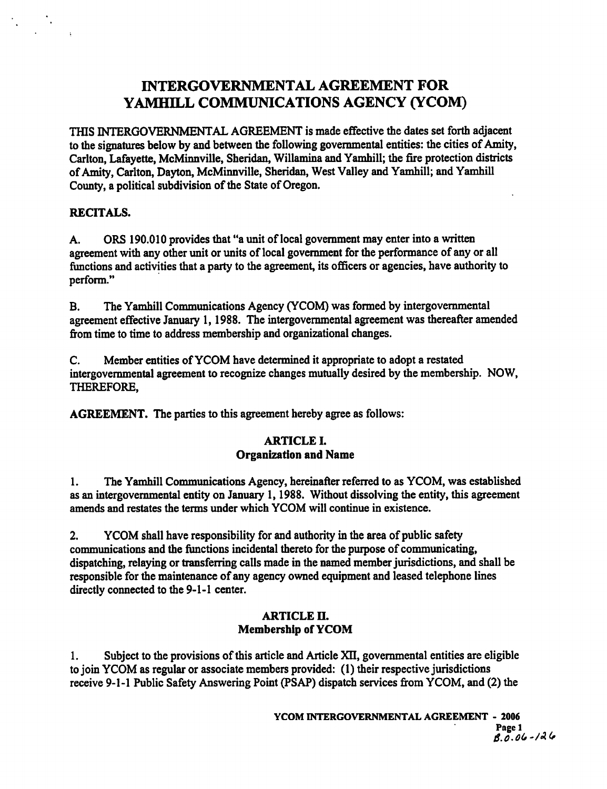# **INTERGOVERNMENTAL AGREEMENT FOR YAMHILL COMMUNICATIONS AGENCY (YCOM)**

THIS **INTERGOVERNMENTAL** AGREEMENT is made effective the dates set forth adjacent to the signatures below by and between the following governmental entities: the cities of Amity, Carlton, Lafayette, McMinnville, Sheridan, Willamina and Yamhill; the fire protection districts of Amity, Carlton, Dayton, McMinnville, Sheridan, West Valley and Yamhill; and Yamhill County, a political subdivision of the State of Oregon.

# **RECITALS.**

A. ORS 190.010 provides that "a unit of local government may enter into a written agreement with any other unit or units of local government for the performance of any or all functions and activities that a party to the agreement, its officers or agencies, have authority to perform."

**B.** The Yamhill Communications Agency (YCOM) was formed by intergovernmental agreement effective January 1, 1988. The intergovernmental agreement was thereafter amended fiom time to time to address membership and organizational changes.

C. Member entities of YCOM have determined it appropriate to adopt a restated intergovernmental agreement to recognize changes mutually desired by the membership. NOW, THEREFORE,

**AGREEMENT.** The parties to this agreement hereby agree as follows:

# **ARTICLE I. Organization and Name**

1. The Yamhill Communications Agency, hereinafter referred to as YCOM, was established as an intergovernmental entity on January 1, 1988. Without dissolving the entity, this agreement **amends** and restates the terms under which YCOM will continue in existence.

**2.** YCOM shall have responsibility for and authority in the area of public safety communications and the functions incidental thereto for the purpose of communicating, dispatching, relaying or transferring calls made in the named member jurisdictions, and shall be responsible for the maintenance of any agency owned equipment and leased telephone lines directly connected to the 9-1-1 center.

# **ARTICLE 11. Membership of YCOM**

1. Subject to the provisions of this article and Article **XU,** governmental entities are eligible to join YCOM as regular or associate members provided: (1) their respective jurisdictions receive 9-1-1 Public Safety Answering Point (PSAP) dispatch services from YCOM, and (2) the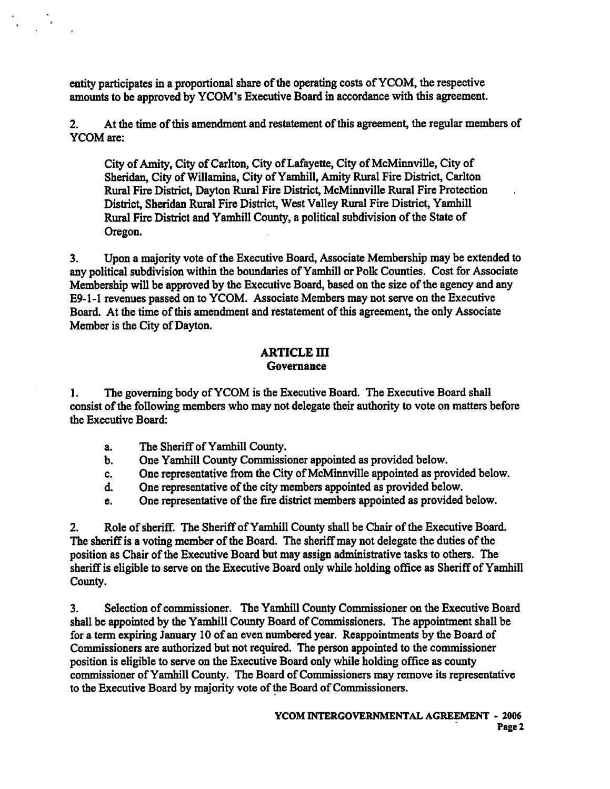entity participates in a proportional share of the operating costs of YCOM, the respective amounts to be approved by YCOM's Executive Board in accordance with this agreement.

**2.** At the time of this amendment and restatement of this agreement, the regular members of YCOM are:

City of Amity, City of Carlton, City of Lafayette, City of McMinnville, City of Sheridan, City of Willamina, City of Yamhill, Amity Rural Fire District, Carlton Rural Fire District, Dayton Rural Fire District, McMinnville Rural Fire Protection . District, Sheridan Rural Fire District, West Valley Rural Fire District, Yamhill Rural Fire District and Yamhill County, a political subdivision of the State of Oregon.

**3.** Upon a majority vote of the Executive Board, Associate Membership may be extended to any political subdivision within the boundaries of Yamhill or Polk Counties. Cost for Associate Membership will be approved by the Executive Board, based on the size of the agency and any E9- 1-1 revenues passed on to YCOM. Associate Members may not serve on the Executive Board. At the time of this amendment and restatement of this agreement, the only Associate Member is the City of Dayton.

#### **ARTICLE m Governance**

**1.** The governing body of YCOM is the Executive Board. The Executive Board shall consist of the following members who may not delegate their authority to vote on matters before the Executive Board:

- a. The Sheriff of Yamhill County.
- b. One Yamhill County Commissioner appointed as provided below.
- c. One representative from the City of McMinnville appointed as provided below.
- d. One representative of the city members appointed as provided below.
- e. One representative of the fire district members appointed as provided below.

**2.** Role of sheriff. The Sheriff of Yamhill County shall be Chair of the Executive Board. The sheriff is a voting member of the Board. The sheriff may not delegate the duties of the position as Chair of the Executive Board but may assign administrative tasks to others. The sheriff is eligible to serve on the Executive Board only while holding office as Sheriff of Yamhill County.

**3.** Selection of commissioner. The Yamhill County Commissioner on the Executive Board shall be appointed by the Yamhill County Board of Commissioners. The appointment shall be for a term expiring **January** 10 of an even numbered year. Reappointments by the Board of Commissioners are authorized but not required. The person appointed to the commissioner position is eligible to serve on the Executive Board only while holding office as county commissioner of Yamhill County. The Board of Commissioners may remove its representative to the Executive Board by majority vote of the Board of Commissioners.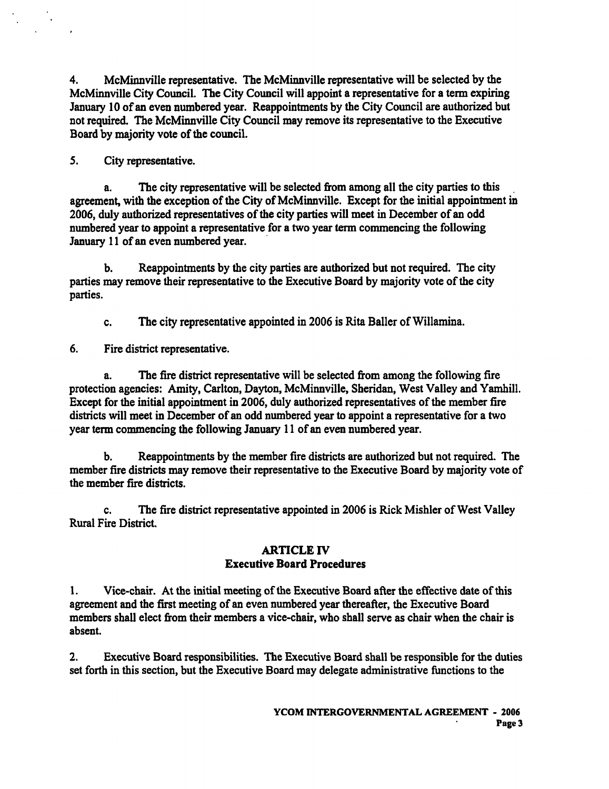**4.** McMinnville representative. The McMinnville representative will be selected by the McMinnville City Council. The City Council will appoint a representative for a term expiring January 10 of an even numbered year. Reappointments by the City Council are authorized but not required. The McMinnville City Council may remove its representative to the Executive Board by majority vote of the council.

5. City representative.

a. The city representative will be selected fiom among all the city parties to this . agreement, with the exception of the City of McMinnville. Except for the initial appointment in 2006, duly authorized representatives of the city parties will meet in December of an odd numbered year to appoint a representative for a two year **tenn** commencing the following January 11 of an even numbered year.

b. Reappointments by the city parties are authorized but not required. The city parties **may** remove their representative to the Executive Board by majority vote of the city parties.

c. The city representative appointed in 2006 is Rita Baller of Willamina.

6. Fire district representative.

The fire district representative will be selected from among the following fire protection agencies: Amity, Carlton, Dayton, McMinnville, Sheridan, West Valley and Yamhill. Except for the initial appointment in 2006, duly authorized representatives of the member fire districts will meet in December of an odd numbered year to appoint a representative for a two year term commencing the following January 11 of an even numbered year.

b. Reappointments by the member tire districts are authorized but not required. The member fire districts may remove their representative to the Executive Board by majority vote of the member fire districts.

c. The fire district representative appointed in 2006 is Rick Mishler of West Valley Rural Fire District.

#### **ARTICLE N Executive Board Procedures**

1. Vice-chair. At the initial meeting of the Executive Board after the effective date of this agreement and the fist meeting of an even numbered year thereafter, the Executive Board members shall elect fiom their members a vice-chair, who shall serve as chair when the chair is absent.

**2.** Executive Board responsibilities. The Executive Board shall be responsible for the duties set forth in this section, but the Executive Board may delegate administrative functions to the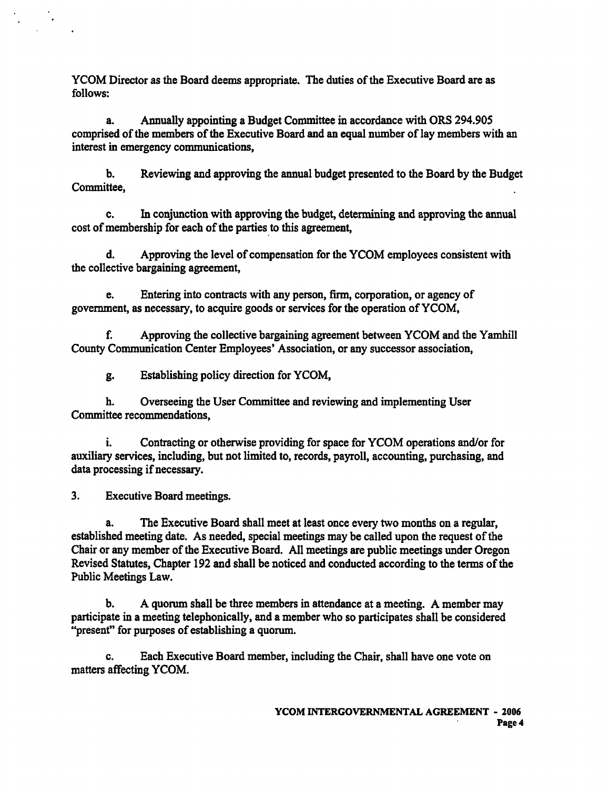YCOM Director as the Board deems appropriate. The duties of the Executive Board are as follows:

a. Annually appointing a Budget Committee in accordance with ORS 294.905 comprised of the members of the Executive Board and an equal number of lay members with **an**  interest in emergency communications,

b. Reviewing and approving the annual budget presented to the Board by the Budget Committee,

c. In conjunction with approving the budget, determining and approving the annual cost of membership for each of the parties to this agreement,

d. Approving the level of compensation for the YCOM employees consistent with the collective bargaining agreement,

e. Entering into contracts with any person, **firm,** corporation, or agency of government, as necessary, to acquire goods or sewices for the operation of YCOM,

f. Approving the collective bargaining agreement between YCOM and the Yamhill County Communication Center Employees' Association, or any successor association,

g. Establishing policy direction for YCOM,

**h.** Overseeing the User Committee and reviewing and implementing User Committee recommendations,

i. Contracting or otherwise providing for space for YCOM operations and/or for auxiliary services, including, but not limited to, records, payroll, accounting, purchasing, and data processing if necessary.

3. Executive Board meetings.

a. The Executive Board shall meet at least once every two months on a regular, established meeting date. As needed, special meetings may be called upon the request of the Chair or any member of the Executive Board. All meetings are public meetings under Oregon Revised Statutes, Chapter 192 and shall be noticed and conducted according to the terms of the Public Meetings Law.

b. A quorum shall be three members in attendance at a meeting. A member may participate in a meeting telephonically, and a member who so participates shall be considered "present" for purposes of establishing a quorum.

c. Each Executive Board member, including the Chair, shall have one vote on matters affecting YCOM.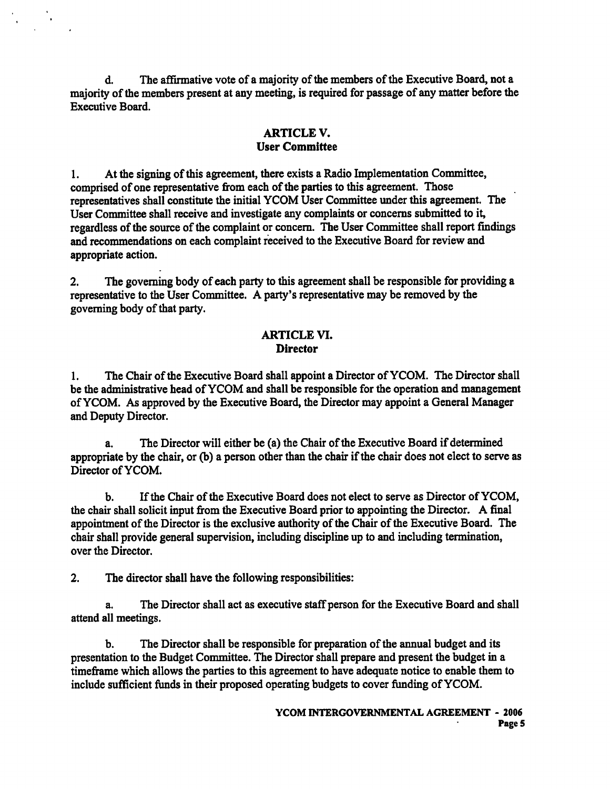d. The affirmative vote of a majority of the members of the Executive Board, not a majority of the members present at any meeting, is required for passage of any matter before the Executive Board.

## **ARTICLE V. User Committee**

**1.** At the signing of this agreement, there exists a Radio Implementation Committee, comprised of one representative fiom each of the parties to this agreement. Those representatives shall constitute the initial YCOM User Committee under this agreement. The User Committee shall receive and investigate any complaints or concerns submitted to it, regardless of the source of the complaint or concern. The User Committee shall report findings and recommendations on each complaint received to the Executive Board for review and appropriate action.

**2.** The governing body of each party to this agreement shall be responsible for providing a representative to the User Committee. A party's representative may be removed by the governing body of that party.

#### **ARTICLE M. Director**

**1.** The Chair of the Executive Board shall appoint a Director of YCOM. The Director shall be the administrative head of YCOM and shall be responsible for the operation and management of YCOM. **As** approved by the Executive Board, the Director may appoint a General Manager and Deputy Director.

a. The Director will either be (a) the Chair of the Executive Board if determined appropriate by the chair, or (b) a person other than the chair if the chair does not elect to serve as Director of YCOM.

b. If the Chair of the Executive Board does not elect to serve as Director of YCOM, the chair shall solicit input fiom the Executive Board prior to appointing the Director. A final appointment of the Director is the exclusive authority of the Chair of the Executive Board. The chair shall provide general supervision, including discipline up to and including termination, over the Director.

2. The director shall have the following responsibilities:

a. The Director shall act as executive staff person for the Executive Board and shall attend all meetings.

b. The Director shall be responsible for preparation of the annual budget and its presentation to the Budget Committee. The Director shall prepare and present the budget in a timeframe which allows the parties to this agreement to have adequate notice to enable them to include sufficient **funds** in their proposed operating budgets to cover fhding of YCOM.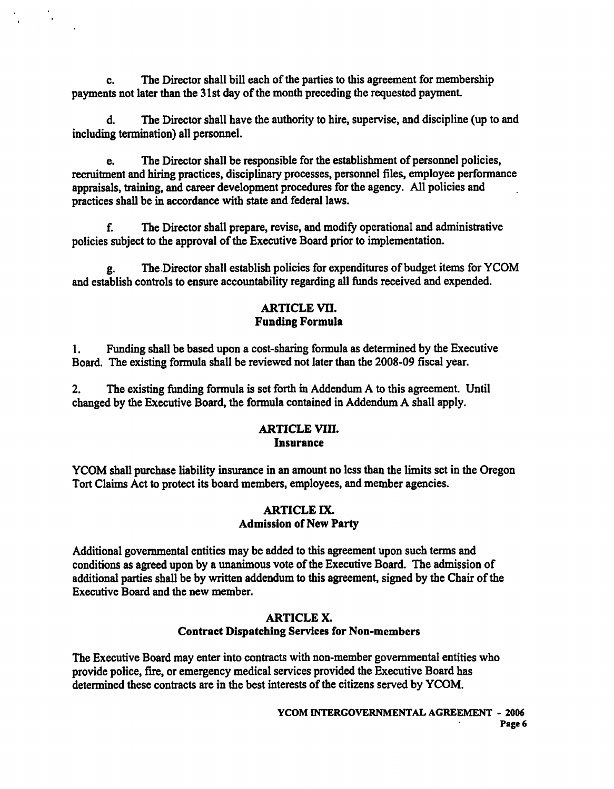c. The Director shall bill each of the parties to this agreement for membership payments not later than the 3 1 st day of the month preceding the requested payment.

d. The Director shall have the authority to hire, supervise, and discipline (up to and including termination) all personnel.

e. The Director shall be responsible for the establishment of personnel policies, recruitment and hiring practices, disciplinary processes, personnel files, employee performance appraisals, training, and career development procedures for the agency. All policies and practices shall be in accordance with state and federal laws.

f. The Director shall prepare, revise, and modify operational and administrative policies subject to the approval of the Executive Board prior to implementation.

g. The-Director shall establish policies for expenditures of budget items for YCOM and establish controls to ensure accountability regarding all funds received and expended.

# **ARTICLE VII. Funding Formula**

1. Funding shall be based upon a cost-sharing formula as determined by the Executive Board. The existing formula shall be reviewed not later than the **2008-09** fiscal year.

**2.** The existing funding formula is set forth in Addendum A to this agreement. Until changed by the Executive Board, the formula contained in Addendum A shall apply.

# **ARTICLE** MII. **Insurance**

YCOM shall purchase liability insurance in an amount no less than the limits set in the Oregon Tort Claims Act to protect its board members, employees, and member agencies.

# **ARTICLE IX. Admission of New Party**

Additional governmental entities may be added to this agreement upon such terms and conditions as agreed upon by a unanimous vote of the Executive Board. The admission of additional parties shall be by written addendum to this agreement, signed by the Chair of the Executive Board and the new member.

#### **ARTICLE X Contract Dispatching Services for Non-members**

The Executive Board may enter into contracts with non-member governmental entities who provide police, fire, or emergency medical services provided the Executive Board has determined these contracts are in the best interests of the citizens served by **YCOM.**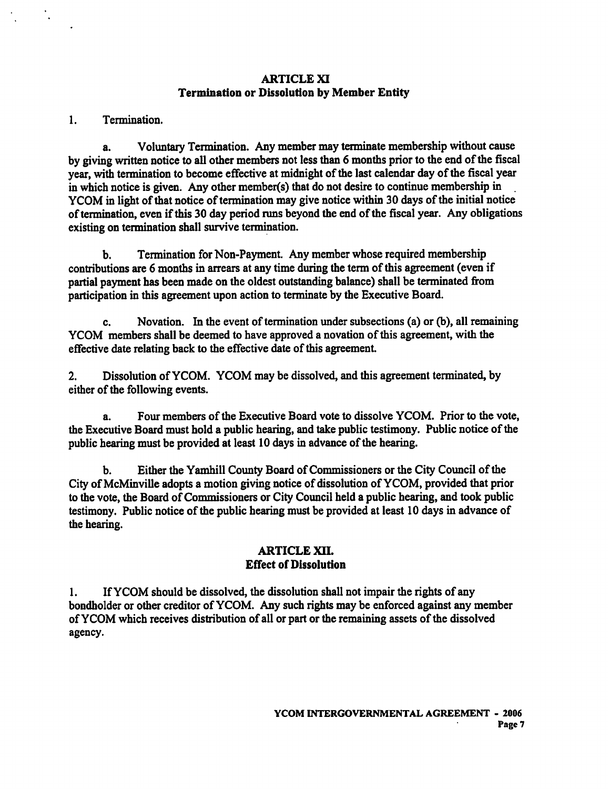#### **ARTICLE XI**  Termination or Dissolution by Member **Entity**

#### 1. Termination.

a. Voluntary Termination. Any member may terminate membership without cause by giving written notice to all other members not less than 6 months prior to the end of the fiscal year, with termination to become effective at midnight of the last calendar day of the fiscal year in which notice is given. Any other member $(s)$  that do not desire to continue membership in YCOM in light of that notice of termination may give notice within **30** days of the initial notice of termination, even if this **30** day period **runs** beyond the end of the fiscal year. Any obligations existing on termination shall survive termination.

**b.** Termination for Non-Payment. Any member whose required membership contributions are 6 months in arrears at any time during the term of this agreement (even if partial payment has been made on the oldest outstanding balance) shall be terminated from participation in this agreement upon action to terminate by the Executive Board.

c. Novation. In the event of termination under subsections (a) or (b), all remaining YCOM members shall be deemed to have approved a novation of this agreement, with the effective date relating back to the effective date of this agreement.

**2.** Dissolution of YCOM. YCOM may be dissolved, and this agreement terminated, by either of the following events.

a. Four members of the Executive Board vote to dissolve YCOM. Prior to the vote, the Executive Board must hold a public hearing, and take public testimony. Public notice of the public hearing must be provided at least 10 days in advance of the hearing.

b. Either the Yamhill County Board of commissioners or the City Council of the City of McMinville adopts a motion giving notice of dissolution of YCOM, provided that prior to the vote, the Board of Commissioners or City Council held a public hearing, and took public testimony. Public notice of the public hearing must be provided at least **10** days in advance of the hearing.

#### **ARTICLE** xu. Effect of Dissolution

**1.** If YCOM should be dissolved, the dissolution shall not impair the rights of any bondholder or other creditor of YCOM. Any such rights may be enforced against any member of YCOM which receives distribution of all or part or the remaining assets of the dissolved agency.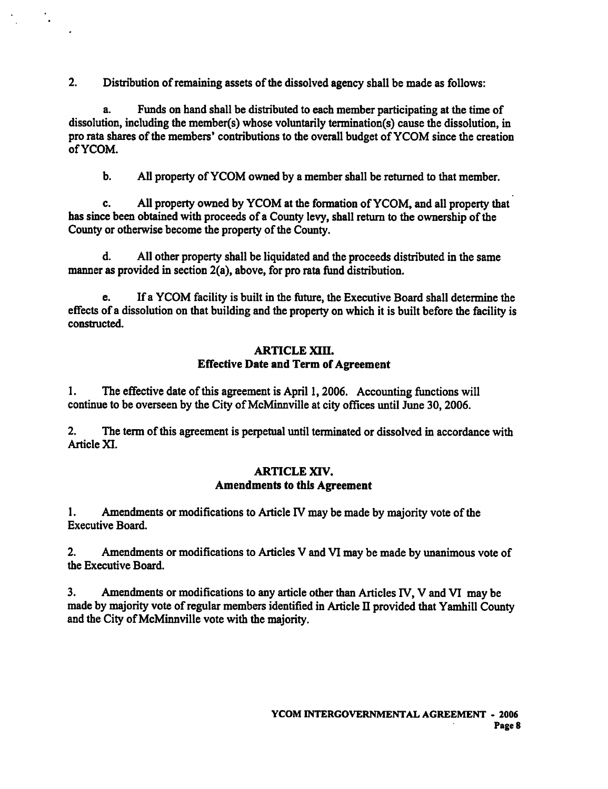2. Distribution of remaining assets of the dissolved agency shall be made as follows:

 $\ddot{\phantom{a}}$ 

a. Funds on hand shall be distributed to each member participating at the time of dissolution, including the member(s) whose voluntarily termination(s) cause the dissolution, in pro rata shares of the members' contributions to the overall budget of YCOM since the creation of YCOM.

b. *All* property of YCOM owned by a member shall be returned to that member.

c. **All** property owned by YCOM at the formation of YCOM, and all property that has since been obtained with proceeds of a County levy, shall return to the ownership of the County or otherwise become the property of the County.

d. All other property shall be liquidated and the proceeds distributed in the same manner as provided in section 2(a), above, for pro **rata** fund distribution.

e. If a YCOM facility is built in the future, the Executive Board shall determine the effects of a dissolution on that building and the property on which it is built before the facility is constructed.

# **ARTICLE XIII. Effective Date and Term of Agreement**

1. The effective date of this agreement is April 1,2006. Accounting functions will continue to be overseen by the City of McMinnville at city offices until June 30,2006.

2. The term of this agreement is perpetual until terminated or dissolved in accordance with Article XI.

#### **ARTICLE XIV. Amendments to this Agreement**

1. Amendments or modifications to Article **IV** may be made by majority vote of the Executive Board.

2. Amendments or modifications to Articles V and **VI** may be made by unanimous vote of the Executive Board.

**3.** Amendments or modifications to any article other than Articles **N,** V and **VI** may be made by majority vote of regular members identified in Article **I1** provided that Yamhill County and the City of McMinnville vote with the majority.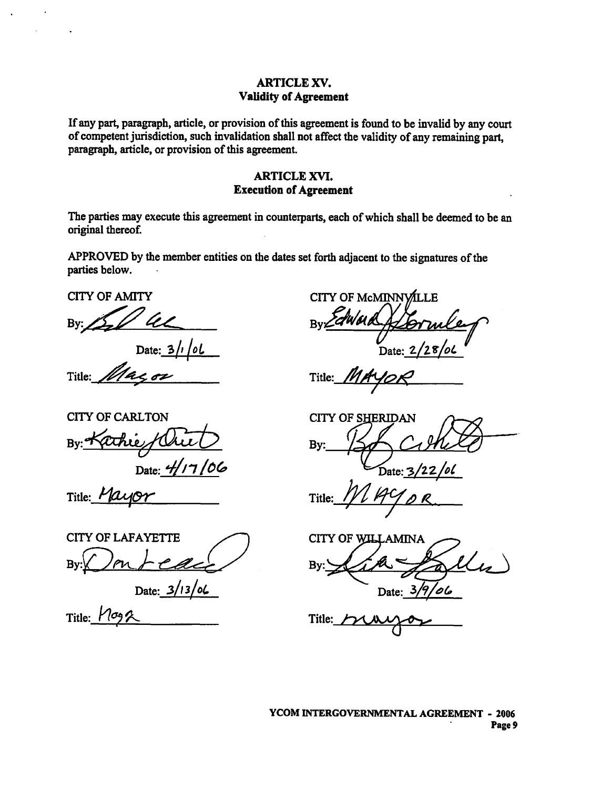#### **ARTICLE XV. Validity of Agreement**

If **any** part, paragraph, article, or provision of this agreement is found to be invalid by any court of competent jurisdiction, such invalidation shall not affect the validity of **any** remaining part, paragraph, article, or provision of this agreement.

# **ARTICLE** XVI. **Execution of Agreement**

The parties **may** execute this agreement in counterparts, each of which shall be deemed to be an original thereof.

APPROVED by the member entities on the dates set forth adjacent to the signatures of the parties below. . **ARTIC**<br>
Execution<br>
The parties may execute this agreement in cour<br>
original thereof.<br>
APPROVED by the member entities on the dat<br>
parties below.<br>
CITY OF AMITY<br>
By:<br>
Date:  $\frac{3}{i}$  ol

**CITY** OF **AMITY** 

CITY OF CARLTON

Title: Mayor

**By:** 

Date:  $3/1/0L$ Title:  $114 < 02$ 

CITY OF McMINNVILLE Date:  $2/28$ 

Title:  $\frac{1}{\sqrt{2}}$ 

**CITY OF SHERIDAN** Bv

Title:

Date:  $3/13/06$  Date:  $3\sqrt{7}/06$ 

 $\mathfrak{f}$ 

**CITY** OF **LAFAYETTE CITY** OF **AMINA By:** 

Date: 4/17/06

Title:  $M\sigma_9$   $\sim$  Title:

**YCOM INTERGOVERNMENTAL AGREEMENT** - **2006 Page 9**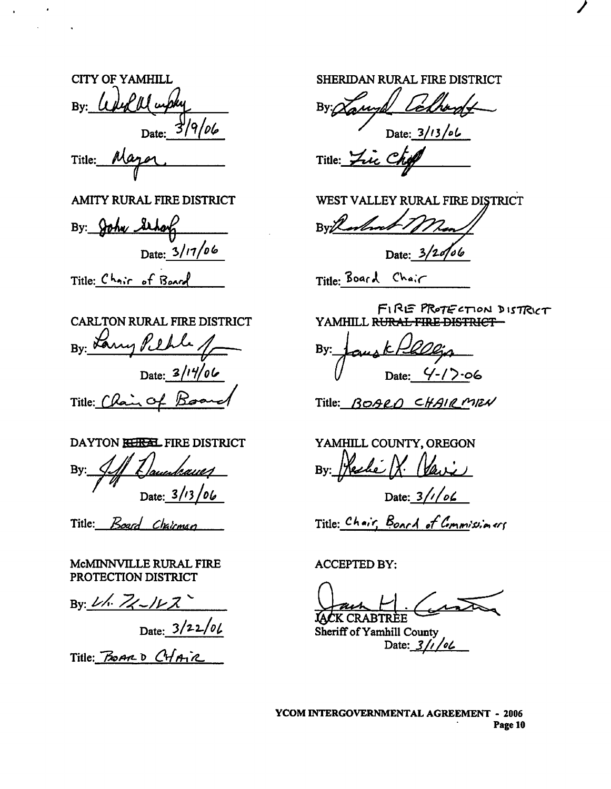**CITY OF YAMHILL SHERIDAN RURAL FIRE DISTRICT** By: *Wed Ww* Date:  $\frac{3}{9}$ /*06* OF YAMHILL SH<br>
Color Date: 3/9/06<br>
Date: 3/9/06<br>
Mayor Tit<br>
TY RURAL FIRE DISTRICT WI

**Title:** 

**AMITY RURAL FIRE DISTRICT** 

By: John Sthorf Date:  $3/17/06$ 

Title: Chair of **Board** 

**CARLTON RURAL FIRE DISTRICT**  By: Larry Pethle  $Date: 3/14/06$ Title: Chain of F

**DAYTON FIRE DISTRICT** 

**By:**  Date:  $3/13/06$ 

Title: *Board Chairman* 

**McMINNVILLE RURAL FIRE PROTECTION DISTRICT** 

 $By: 2/6$   $Z - 1/2Z$ Date:  $3/22/01$ 

 $Title:$  **BOARD** CHAIR

' **Date: 311 3** /@ **L Title:** &

**WEST VALLEY RURAL** FIRE **DISTRICT** 

**Date:** d **<sup>3</sup>2 <sup>46</sup>**

FIRE PROTECTION DISTRICT YAMHILL RURAL FIRE DISTRICT-

**By:**  u **Date: y-17-06** 

Title: BOARD CHAIRMEN

**YAMHILL COUNTY, OREGON By:**  <u>Heche</u> IX.

Date:  $3///66$ 

 $Title: *Chair*, *Board of Commissioners*$ 

**ACCEPTED BY:** 

**IACK CRABTRÈE** 

**sheriff of yamhill County**  Date:  $3/1/0$ 

**YCOM INTERGOVERNMENTAL AGREEMENT** - **<sup>2006</sup> Page 10**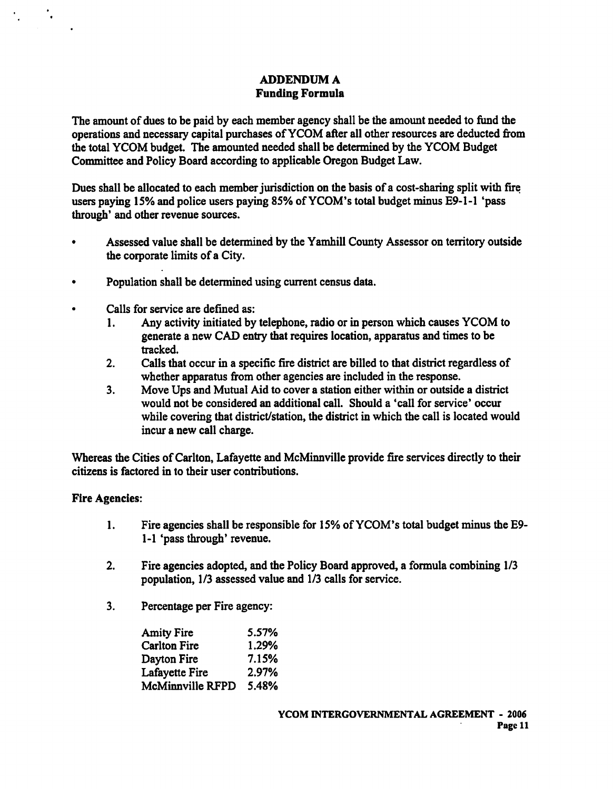## **ADDENDUM A Funding Formula**

The amount of dues to be paid by each member agency shall be the amount needed to fund the operations and necessary capital purchases of YCOM afkr all other resources are deducted fiom the total YCOM budget. The amounted needed shall be determined by the YCOM Budget Committee and Policy Board according to applicable Oregon Budget Law.

**Dues** shall be allocated to each member jurisdiction on the basis of a cost-sharing split with fie **users** paying 15% and police users paying 85% of YCOM's total budget minus E9-1-1 'pass through' and other revenue sources.

- Assessed value shall be determined by the Yamhill County Assessor on territory outside the corporate limits of a City.
- Population shall be determined using current census data.
- Calls for service are defined as:
	- 1. Any activity initiated by telephone, radio or in person which causes YCOM to generate a new CAD entry that requires location, apparatus and times to be tracked.
	- **2.** Calls that occur in a specific fie district are billed to that district regardless of whether apparatus fiom other agencies are included in the response.
	- 3. Move Ups and Mutual Aid to cover a station either within or outside a district would not be considered an additional call. Should a 'call for service' occur while covering that district/station, the district in which the call is located would incur a new call charge.

Whereas the Cities of Carlton, Lafayette and McMinnville provide fire services directly to their citizens is factored in to their user contributions.

#### **Fire Agencies:**

۰.

- 1. Fire agencies shall be responsible for 15% of YCOM's total budget **minus** the E9- 1-1 'pass through' revenue.
- 2. Fire agencies adopted, and the Policy Board approved, a formula combining  $1/3$ population, 1/3 assessed value and 1/3 calls for service.
- 3. Percentage per Fire agency:

| <b>Amity Fire</b>   | 5.57% |
|---------------------|-------|
| <b>Carlton Fire</b> | 1.29% |
| Dayton Fire         | 7.15% |
| Lafayette Fire      | 2.97% |
| McMinnville RFPD    | 5.48% |